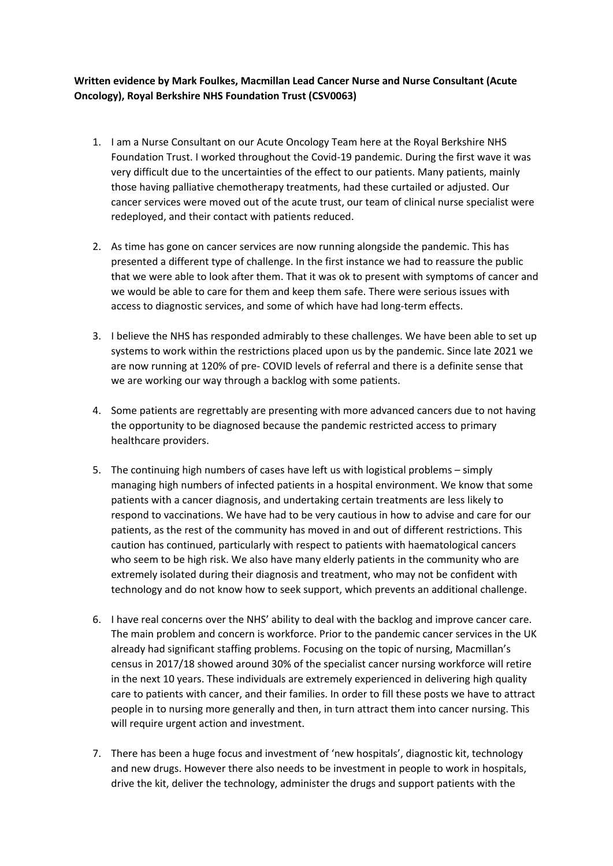## **Written evidence by Mark Foulkes, Macmillan Lead Cancer Nurse and Nurse Consultant (Acute Oncology), Royal Berkshire NHS Foundation Trust (CSV0063)**

- 1. I am a Nurse Consultant on our Acute Oncology Team here at the Royal Berkshire NHS Foundation Trust. I worked throughout the Covid-19 pandemic. During the first wave it was very difficult due to the uncertainties of the effect to our patients. Many patients, mainly those having palliative chemotherapy treatments, had these curtailed or adjusted. Our cancer services were moved out of the acute trust, our team of clinical nurse specialist were redeployed, and their contact with patients reduced.
- 2. As time has gone on cancer services are now running alongside the pandemic. This has presented a different type of challenge. In the first instance we had to reassure the public that we were able to look after them. That it was ok to present with symptoms of cancer and we would be able to care for them and keep them safe. There were serious issues with access to diagnostic services, and some of which have had long-term effects.
- 3. I believe the NHS has responded admirably to these challenges. We have been able to set up systems to work within the restrictions placed upon us by the pandemic. Since late 2021 we are now running at 120% of pre- COVID levels of referral and there is a definite sense that we are working our way through a backlog with some patients.
- 4. Some patients are regrettably are presenting with more advanced cancers due to not having the opportunity to be diagnosed because the pandemic restricted access to primary healthcare providers.
- 5. The continuing high numbers of cases have left us with logistical problems simply managing high numbers of infected patients in a hospital environment. We know that some patients with a cancer diagnosis, and undertaking certain treatments are less likely to respond to vaccinations. We have had to be very cautious in how to advise and care for our patients, as the rest of the community has moved in and out of different restrictions. This caution has continued, particularly with respect to patients with haematological cancers who seem to be high risk. We also have many elderly patients in the community who are extremely isolated during their diagnosis and treatment, who may not be confident with technology and do not know how to seek support, which prevents an additional challenge.
- 6. I have real concerns over the NHS' ability to deal with the backlog and improve cancer care. The main problem and concern is workforce. Prior to the pandemic cancer services in the UK already had significant staffing problems. Focusing on the topic of nursing, Macmillan's census in 2017/18 showed around 30% of the specialist cancer nursing workforce will retire in the next 10 years. These individuals are extremely experienced in delivering high quality care to patients with cancer, and their families. In order to fill these posts we have to attract people in to nursing more generally and then, in turn attract them into cancer nursing. This will require urgent action and investment.
- 7. There has been a huge focus and investment of 'new hospitals', diagnostic kit, technology and new drugs. However there also needs to be investment in people to work in hospitals, drive the kit, deliver the technology, administer the drugs and support patients with the